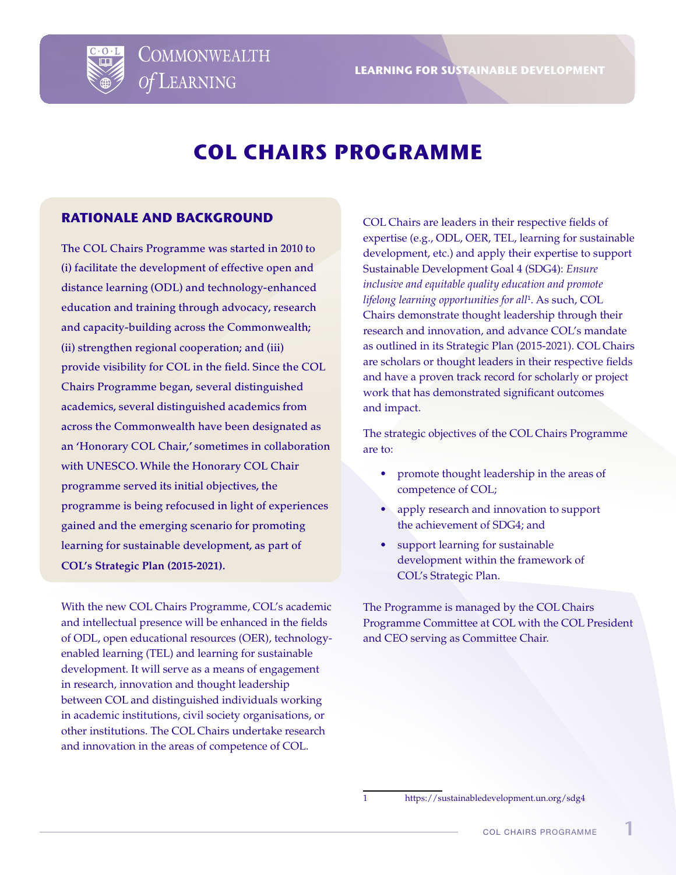

# **COL CHAIRS PROGRAMME**

#### **RATIONALE AND BACKGROUND**

**COMMONWEALTH** 

Of LEARNING

The COL Chairs Programme was started in 2010 to (i) facilitate the development of effective open and distance learning (ODL) and technology-enhanced education and training through advocacy, research and capacity-building across the Commonwealth; (ii) strengthen regional cooperation; and (iii) provide visibility for COL in the field. Since the COL Chairs Programme began, several distinguished academics, several distinguished academics from across the Commonwealth have been designated as an 'Honorary COL Chair,' sometimes in collaboration with UNESCO. While the Honorary COL Chair programme served its initial objectives, the programme is being refocused in light of experiences gained and the emerging scenario for promoting learning for sustainable development, as part of **COL's Strategic Plan (2015-2021).**

With the new COL Chairs Programme, COL's academic and intellectual presence will be enhanced in the fields of ODL, open educational resources (OER), technologyenabled learning (TEL) and learning for sustainable development. It will serve as a means of engagement in research, innovation and thought leadership between COL and distinguished individuals working in academic institutions, civil society organisations, or other institutions. The COL Chairs undertake research and innovation in the areas of competence of COL.

COL Chairs are leaders in their respective fields of expertise (e.g., ODL, OER, TEL, learning for sustainable development, etc.) and apply their expertise to support Sustainable Development Goal 4 (SDG4): *Ensure inclusive and equitable quality education and promote lifelong learning opportunities for all*<sup>1</sup> . As such, COL Chairs demonstrate thought leadership through their research and innovation, and advance COL's mandate as outlined in its Strategic Plan (2015-2021). COL Chairs are scholars or thought leaders in their respective fields and have a proven track record for scholarly or project work that has demonstrated significant outcomes and impact.

The strategic objectives of the COL Chairs Programme are to:

- promote thought leadership in the areas of competence of COL;
- apply research and innovation to support the achievement of SDG4; and
- support learning for sustainable development within the framework of COL's Strategic Plan.

The Programme is managed by the COL Chairs Programme Committee at COL with the COL President and CEO serving as Committee Chair.

1 https://sustainabledevelopment.un.org/sdg4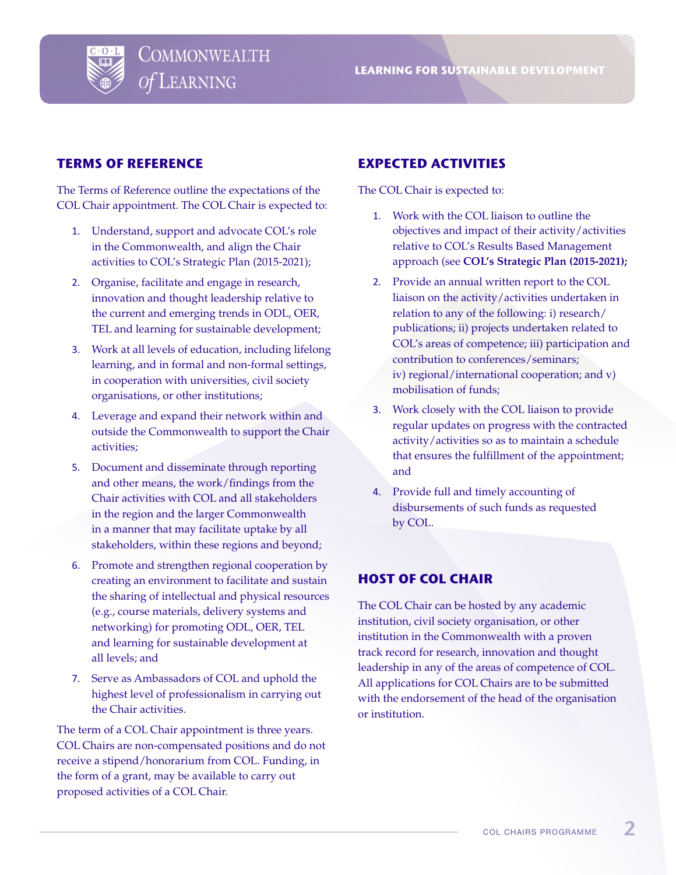

#### **TERMS OF REFERENCE**

The Terms of Reference outline the expectations of the COL Chair appointment. The COL Chair is expected to:

- 1. Understand, support and advocate COL's role in the Commonwealth, and align the Chair activities to COL's Strategic Plan (2015-2021);
- 2. Organise, facilitate and engage in research, innovation and thought leadership relative to the current and emerging trends in ODL, OER, TEL and learning for sustainable development;
- 3. Work at all levels of education, including lifelong learning, and in formal and non-formal settings, in cooperation with universities, civil society organisations, or other institutions;
- 4. Leverage and expand their network within and outside the Commonwealth to support the Chair activities;
- 5. Document and disseminate through reporting and other means, the work/findings from the Chair activities with COL and all stakeholders in the region and the larger Commonwealth in a manner that may facilitate uptake by all stakeholders, within these regions and beyond;
- 6. Promote and strengthen regional cooperation by creating an environment to facilitate and sustain the sharing of intellectual and physical resources (e.g., course materials, delivery systems and networking) for promoting ODL, OER, TEL and learning for sustainable development at all levels; and
- 7. Serve as Ambassadors of COL and uphold the highest level of professionalism in carrying out the Chair activities.

The term of a COL Chair appointment is three years. COL Chairs are non-compensated positions and do not receive a stipend/honorarium from COL. Funding, in the form of a grant, may be available to carry out proposed activities of a COL Chair.

# **EXPECTED ACTIVITIES**

The COL Chair is expected to:

- 1. Work with the COL liaison to outline the objectives and impact of their activity/activities relative to COL's Results Based Management approach (see **COL's Strategic Plan (2015-2021);**
- 2. Provide an annual written report to the COL liaison on the activity/activities undertaken in relation to any of the following: i) research/ publications; ii) projects undertaken related to COL's areas of competence; iii) participation and contribution to conferences/seminars; iv) regional/international cooperation; and v) mobilisation of funds;
- 3. Work closely with the COL liaison to provide regular updates on progress with the contracted activity/activities so as to maintain a schedule that ensures the fulfillment of the appointment; and
- 4. Provide full and timely accounting of disbursements of such funds as requested by COL.

#### **HOST OF COL CHAIR**

The COL Chair can be hosted by any academic institution, civil society organisation, or other institution in the Commonwealth with a proven track record for research, innovation and thought leadership in any of the areas of competence of COL. All applications for COL Chairs are to be submitted with the endorsement of the head of the organisation or institution.